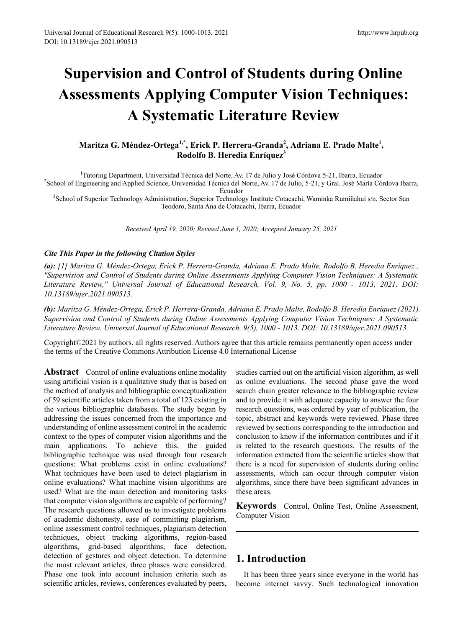# **Supervision and Control of Students during Online Assessments Applying Computer Vision Techniques: A Systematic Literature Review**

# **Maritza G. Méndez-Ortega1,\*, Erick P. Herrera-Granda<sup>2</sup> , Adriana E. Prado Malte1 , Rodolfo B. Heredia Enríquez3**

<sup>1</sup>Tutoring Department, Universidad Técnica del Norte, Av. 17 de Julio y José Córdova 5-21, Ibarra, Ecuador<sup>2</sup>School of Engineering and Applied Science, Universidad Técnica del Norte, Av. 17 de Julio, 5-21, v Gral, José Ma <sup>2</sup>School of Engineering and Applied Science, Universidad Técnica del Norte, Av. 17 de Julio, 5-21, y Gral. José María Córdova Ibarra,<br>Ecuador

Ecuador<br><sup>3</sup>School of Superior Technology Administration, Superior Technology Institute Cotacachi, Waminka Rumiñahui s/n, Sector San Teodoro, Santa Ana de Cotacachi, Ibarra, Ecuador

*Received April 19, 2020; Revised June 1, 2020; Accepted January 25, 2021* 

# *Cite This Paper in the following Citation Styles*

*(a): [1] Maritza G. Méndez-Ortega, Erick P. Herrera-Granda, Adriana E. Prado Malte, Rodolfo B. Heredia Enríquez , "Supervision and Control of Students during Online Assessments Applying Computer Vision Techniques: A Systematic Literature Review," Universal Journal of Educational Research, Vol. 9, No. 5, pp. 1000 - 1013, 2021. DOI: 10.13189/ujer.2021.090513.* 

*(b): Maritza G. Méndez-Ortega, Erick P. Herrera-Granda, Adriana E. Prado Malte, Rodolfo B. Heredia Enríquez (2021). Supervision and Control of Students during Online Assessments Applying Computer Vision Techniques: A Systematic Literature Review. Universal Journal of Educational Research, 9(5), 1000 - 1013. DOI: 10.13189/ujer.2021.090513.* 

Copyright©2021 by authors, all rights reserved. Authors agree that this article remains permanently open access under the terms of the Creative Commons Attribution License 4.0 International License

**Abstract** Control of online evaluations online modality using artificial vision is a qualitative study that is based on the method of analysis and bibliographic conceptualization of 59 scientific articles taken from a total of 123 existing in the various bibliographic databases. The study began by addressing the issues concerned from the importance and understanding of online assessment control in the academic context to the types of computer vision algorithms and the main applications. To achieve this, the guided bibliographic technique was used through four research questions: What problems exist in online evaluations? What techniques have been used to detect plagiarism in online evaluations? What machine vision algorithms are used? What are the main detection and monitoring tasks that computer vision algorithms are capable of performing? The research questions allowed us to investigate problems of academic dishonesty, ease of committing plagiarism, online assessment control techniques, plagiarism detection techniques, object tracking algorithms, region-based algorithms, grid-based algorithms, face detection, detection of gestures and object detection. To determine the most relevant articles, three phases were considered. Phase one took into account inclusion criteria such as scientific articles, reviews, conferences evaluated by peers,

studies carried out on the artificial vision algorithm, as well as online evaluations. The second phase gave the word search chain greater relevance to the bibliographic review and to provide it with adequate capacity to answer the four research questions, was ordered by year of publication, the topic, abstract and keywords were reviewed. Phase three reviewed by sections corresponding to the introduction and conclusion to know if the information contributes and if it is related to the research questions. The results of the information extracted from the scientific articles show that there is a need for supervision of students during online assessments, which can occur through computer vision algorithms, since there have been significant advances in these areas.

**Keywords** Control, Online Test, Online Assessment, Computer Vision

# **1. Introduction**

It has been three years since everyone in the world has become internet savvy. Such technological innovation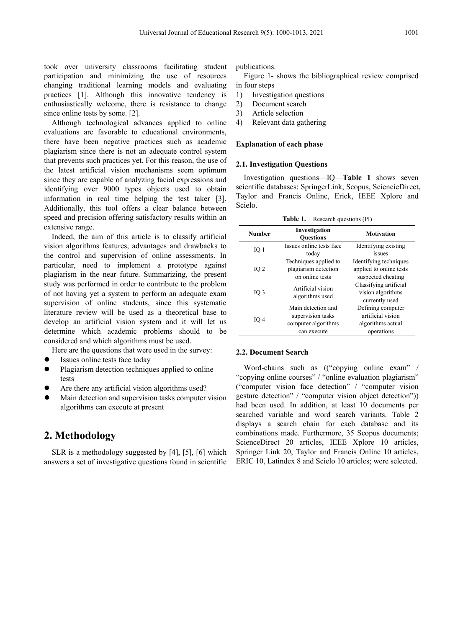took over university classrooms facilitating student participation and minimizing the use of resources changing traditional learning models and evaluating practices [1]. Although this innovative tendency is enthusiastically welcome, there is resistance to change since online tests by some. [2].

Although technological advances applied to online evaluations are favorable to educational environments, there have been negative practices such as academic plagiarism since there is not an adequate control system that prevents such practices yet. For this reason, the use of the latest artificial vision mechanisms seem optimum since they are capable of analyzing facial expressions and identifying over 9000 types objects used to obtain information in real time helping the test taker [3]. Additionally, this tool offers a clear balance between speed and precision offering satisfactory results within an extensive range.

Indeed, the aim of this article is to classify artificial vision algorithms features, advantages and drawbacks to the control and supervision of online assessments. In particular, need to implement a prototype against plagiarism in the near future. Summarizing, the present study was performed in order to contribute to the problem of not having yet a system to perform an adequate exam supervision of online students, since this systematic literature review will be used as a theoretical base to develop an artificial vision system and it will let us determine which academic problems should to be considered and which algorithms must be used.

Here are the questions that were used in the survey:

- Issues online tests face today
- Plagiarism detection techniques applied to online tests
- Are there any artificial vision algorithms used?
- Main detection and supervision tasks computer vision algorithms can execute at present

# **2. Methodology**

SLR is a methodology suggested by [4], [5], [6] which answers a set of investigative questions found in scientific publications.

Figure 1- shows the bibliographical review comprised in four steps

- 1) Investigation questions
- 2) Document search
- 3) Article selection
- 4) Relevant data gathering

## **Explanation of each phase**

## **2.1. Investigation Questions**

Investigation questions—IQ—**Table 1** shows seven scientific databases: SpringerLink, Scopus, SciencieDirect, Taylor and Francis Online, Erick, IEEE Xplore and Scielo.

**Table 1.** Research questions (PI)

| <b>Number</b>   | Investigation<br><b>Ouestions</b>    | <b>Motivation</b>       |
|-----------------|--------------------------------------|-------------------------|
| IO 1            | Issues online tests face             | Identifying existing    |
|                 | today                                | issues                  |
|                 | Techniques applied to                | Identifying techniques  |
| IO <sub>2</sub> | plagiarism detection                 | applied to online tests |
|                 | on online tests                      | suspected cheating      |
|                 | Artificial vision<br>algorithms used | Classifying artificial  |
| $IO$ 3          |                                      | vision algorithms       |
|                 |                                      | currently used          |
|                 | Main detection and                   | Defining computer       |
| IQ <sub>4</sub> | supervision tasks                    | artificial vision       |
|                 | computer algorithms                  | algorithms actual       |
|                 | can execute                          | operations              |

## **2.2. Document Search**

Word-chains such as (("copying online exam" / "copying online courses" / "online evaluation plagiarism" ("computer vision face detection" / "computer vision gesture detection" / "computer vision object detection")) had been used. In addition, at least 10 documents per searched variable and word search variants. Table 2 displays a search chain for each database and its combinations made. Furthermore, 35 Scopus documents; ScienceDirect 20 articles, IEEE Xplore 10 articles, Springer Link 20, Taylor and Francis Online 10 articles, ERIC 10, Latindex 8 and Scielo 10 articles; were selected.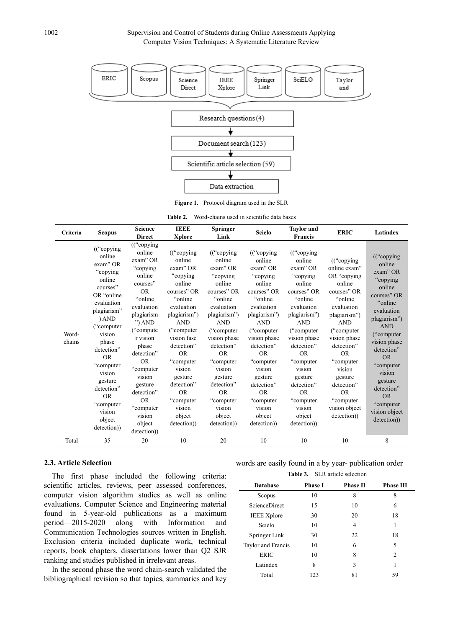

**Figure 1.** Protocol diagram used in the SLR

| <b>Table 2.</b> Word-chains used in scientific data bases |  |
|-----------------------------------------------------------|--|
|-----------------------------------------------------------|--|

| Criteria        | <b>Scopus</b>                                                                                                                                                                                                                                                                                        | <b>Science</b><br><b>Direct</b>                                                                                                                                                                                                                                                                                  | <b>IEEE</b><br><b>Xplore</b>                                                                                                                                                                                                                                                                           | <b>Springer</b><br>Link                                                                                                                                                                                                                                                                                          | <b>Scielo</b>                                                                                                                                                                                                                                                                                         | <b>Taylor</b> and<br><b>Francis</b>                                                                                                                                                                                                                                                                 | <b>ERIC</b>                                                                                                                                                                                                                                                                                     | Latindex                                                                                                                                                                                                                                                                                            |
|-----------------|------------------------------------------------------------------------------------------------------------------------------------------------------------------------------------------------------------------------------------------------------------------------------------------------------|------------------------------------------------------------------------------------------------------------------------------------------------------------------------------------------------------------------------------------------------------------------------------------------------------------------|--------------------------------------------------------------------------------------------------------------------------------------------------------------------------------------------------------------------------------------------------------------------------------------------------------|------------------------------------------------------------------------------------------------------------------------------------------------------------------------------------------------------------------------------------------------------------------------------------------------------------------|-------------------------------------------------------------------------------------------------------------------------------------------------------------------------------------------------------------------------------------------------------------------------------------------------------|-----------------------------------------------------------------------------------------------------------------------------------------------------------------------------------------------------------------------------------------------------------------------------------------------------|-------------------------------------------------------------------------------------------------------------------------------------------------------------------------------------------------------------------------------------------------------------------------------------------------|-----------------------------------------------------------------------------------------------------------------------------------------------------------------------------------------------------------------------------------------------------------------------------------------------------|
| Word-<br>chains | (("copying<br>online<br>exam" OR<br>"copying<br>online<br>courses"<br>OR "online"<br>evaluation<br>plagiarism"<br>) AND<br>("computer")<br>vision<br>phase<br>detection"<br><b>OR</b><br>"computer"<br>vision<br>gesture<br>detection"<br><b>OR</b><br>"computer"<br>vision<br>object<br>detection)) | (("copying)<br>online<br>exam" OR<br>"copying<br>online<br>courses"<br><b>OR</b><br>"online"<br>evaluation<br>plagiarism<br>") $AND$<br>("compute")<br>r vision<br>phase<br>detection"<br><b>OR</b><br>"computer<br>vision<br>gesture<br>detection"<br><b>OR</b><br>"computer<br>vision<br>object<br>detection)) | (("copying)<br>online<br>exam" OR<br>"copying<br>online<br>courses" OR<br>"online"<br>evaluation<br>plagiarism")<br><b>AND</b><br>("computer")<br>vision fase<br>detection"<br><b>OR</b><br>"computer"<br>vision<br>gesture<br>detection"<br><b>OR</b><br>"computer<br>vision<br>object<br>detection)) | $((\text{``copying})$<br>online<br>exam" OR<br>"copying<br>online<br>courses" OR<br>"online<br>evaluation<br>plagiarism")<br><b>AND</b><br>("computer")<br>vision phase<br>detection"<br><b>OR</b><br>"computer<br>vision<br>gesture<br>detection"<br><b>OR</b><br>"computer"<br>vision<br>object<br>detection)) | (("copying)<br>online<br>exam" OR<br>"copying<br>online<br>courses" OR<br>"online<br>evaluation<br>plagiarism")<br><b>AND</b><br>("computer")<br>vision phase<br>detection"<br><b>OR</b><br>"computer<br>vision<br>gesture<br>detection"<br><b>OR</b><br>"computer<br>vision<br>object<br>detection)) | (("copying<br>online<br>exam" OR<br>"copying<br>online<br>courses" OR<br>"online<br>evaluation<br>plagiarism")<br><b>AND</b><br>("computer<br>vision phase<br>detection"<br><b>OR</b><br>"computer<br>vision<br>gesture<br>detection"<br><b>OR</b><br>"computer"<br>vision<br>object<br>detection)) | (("copying<br>online exam"<br>OR "copying<br>online<br>courses" OR<br>"online"<br>evaluation<br>plagiarism")<br><b>AND</b><br>("computer")<br>vision phase<br>detection"<br><b>OR</b><br>"computer<br>vision<br>gesture<br>detection"<br><b>OR</b><br>"computer<br>vision object<br>detection)) | (("copying<br>online<br>exam" OR<br>"copying"<br>online<br>courses" OR<br>"online"<br>evaluation<br>plagiarism")<br><b>AND</b><br>("computer")<br>vision phase<br>detection"<br><b>OR</b><br>"computer<br>vision<br>gesture<br>detection"<br><b>OR</b><br>"computer<br>vision object<br>detection)) |
| Total           | 35                                                                                                                                                                                                                                                                                                   | 20                                                                                                                                                                                                                                                                                                               | 10                                                                                                                                                                                                                                                                                                     | 20                                                                                                                                                                                                                                                                                                               | 10                                                                                                                                                                                                                                                                                                    | 10                                                                                                                                                                                                                                                                                                  | 10                                                                                                                                                                                                                                                                                              | 8                                                                                                                                                                                                                                                                                                   |

## **2.3. Article Selection**

The first phase included the following criteria: scientific articles, reviews, peer assessed conferences, computer vision algorithm studies as well as online evaluations. Computer Science and Engineering material found in 5-year-old publications—as a maximum period—2015-2020 along with Information and Communication Technologies sources written in English. Exclusion criteria included duplicate work, technical reports, book chapters, dissertations lower than Q2 SJR ranking and studies published in irrelevant areas.

In the second phase the word chain-search validated the bibliographical revision so that topics, summaries and key

words are easily found in a by year- publication order

| <b>Database</b>      | <b>Phase I</b> | <b>Phase II</b> | <b>Phase III</b> |
|----------------------|----------------|-----------------|------------------|
| Scopus               | 10             | 8               | 8                |
| <b>ScienceDirect</b> | 15             | 10              | 6                |
| <b>IEEE</b> Xplore   | 30             | 20              | 18               |
| Scielo               | 10             | 4               | 1                |
| Springer Link        | 30             | 22              | 18               |
| Taylor and Francis   | 10             | 6               | 5                |
| <b>ERIC</b>          | 10             | 8               | $\overline{c}$   |
| Latindex             | 8              | 3               | 1                |
| Total                | 123            | 81              | 59               |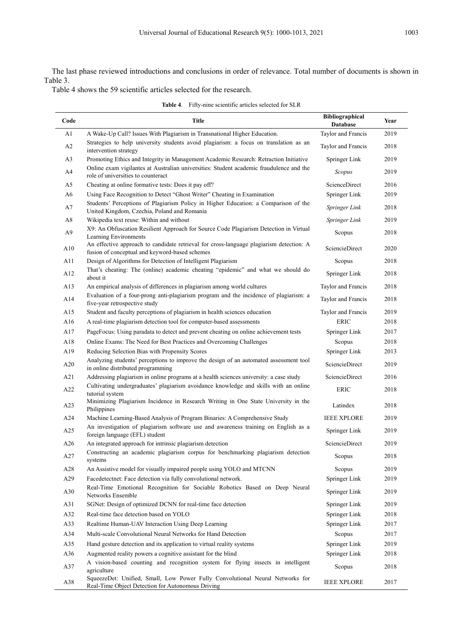The last phase reviewed introductions and conclusions in order of relevance. Total number of documents is shown in Table 3.

Table 4 shows the 59 scientific articles selected for the research.

|  | <b>Table 4.</b> Fifty-nine scientific articles selected for SLR |
|--|-----------------------------------------------------------------|
|--|-----------------------------------------------------------------|

| Code           | <b>Title</b>                                                                                                                              | Bibliographical<br><b>Database</b> | Year |
|----------------|-------------------------------------------------------------------------------------------------------------------------------------------|------------------------------------|------|
| A1             | A Wake-Up Call? Issues With Plagiarism in Transnational Higher Education.                                                                 | Taylor and Francis                 | 2019 |
| A2             | Strategies to help university students avoid plagiarism: a focus on translation as an<br>intervention strategy                            | Taylor and Francis                 | 2018 |
| A <sub>3</sub> | Promoting Ethics and Integrity in Management Academic Research: Retraction Initiative                                                     | Springer Link                      | 2019 |
| A4             | Online exam vigilantes at Australian universities: Student academic fraudulence and the<br>role of universities to counteract             | Scopus                             | 2019 |
| A5             | Cheating at online formative tests: Does it pay off?                                                                                      | ScienceDirect                      | 2016 |
| A6             | Using Face Recognition to Detect "Ghost Writer" Cheating in Examination                                                                   | Springer Link                      | 2019 |
| A7             | Students' Perceptions of Plagiarism Policy in Higher Education: a Comparison of the<br>United Kingdom, Czechia, Poland and Romania        | Springer Link                      | 2018 |
| A8             | Wikipedia text reuse: Within and without                                                                                                  | Springer Link                      | 2019 |
| A <sub>9</sub> | X9: An Obfuscation Resilient Approach for Source Code Plagiarism Detection in Virtual<br>Learning Environments                            | Scopus                             | 2018 |
| A10            | An effective approach to candidate retrieval for cross-language plagiarism detection: A<br>fusion of conceptual and keyword-based schemes | SciencieDirect                     | 2020 |
| A11            | Design of Algorithms for Detection of Intelligent Plagiarism                                                                              | Scopus                             | 2018 |
| A12            | That's cheating: The (online) academic cheating "epidemic" and what we should do<br>about it                                              | Springer Link                      | 2018 |
| A13            | An empirical analysis of differences in plagiarism among world cultures                                                                   | Taylor and Francis                 | 2018 |
| A14            | Evaluation of a four-prong anti-plagiarism program and the incidence of plagiarism: a<br>five-year retrospective study                    | Taylor and Francis                 | 2018 |
| A15            | Student and faculty perceptions of plagiarism in health sciences education                                                                | Taylor and Francis                 | 2019 |
| A16            | A real-time plagiarism detection tool for computer-based assessments                                                                      | <b>ERIC</b>                        | 2018 |
| A17            | PageFocus: Using paradata to detect and prevent cheating on online achievement tests                                                      | Springer Link                      | 2017 |
| A18            | Online Exams: The Need for Best Practices and Overcoming Challenges                                                                       | Scopus                             | 2018 |
| A19            | Reducing Selection Bias with Propensity Scores                                                                                            | Springer Link                      | 2013 |
| A20            | Analyzing students' perceptions to improve the design of an automated assessment tool<br>in online distributed programming                | SciencieDirect                     | 2019 |
| A21            | Addressing plagiarism in online programs at a health sciences university: a case study                                                    | SciencieDirect                     | 2016 |
| A22            | Cultivating undergraduates' plagiarism avoidance knowledge and skills with an online<br>tutorial system                                   | <b>ERIC</b>                        | 2018 |
| A23            | Minimizing Plagiarism Incidence in Research Writing in One State University in the<br>Philippines                                         | Latindex                           | 2018 |
| A24            | Machine Learning-Based Analysis of Program Binaries: A Comprehensive Study                                                                | <b>IEEE XPLORE</b>                 | 2019 |
| A25            | An investigation of plagiarism software use and awareness training on English as a<br>foreign language (EFL) student                      | Springer Link                      | 2019 |
| A26            | An integrated approach for intrinsic plagiarism detection                                                                                 | <b>SciencieDirect</b>              | 2019 |
| A27            | Constructing an academic plagiarism corpus for benchmarking plagiarism detection<br>systems                                               | Scopus                             | 2018 |
| A28            | An Assistive model for visually impaired people using YOLO and MTCNN                                                                      | Scopus                             | 2019 |
| A29            | Facedetectnet: Face detection via fully convolutional network.                                                                            | Springer Link                      | 2019 |
| A30            | Real-Time Emotional Recognition for Sociable Robotics Based on Deep Neural<br>Networks Ensemble                                           | Springer Link                      | 2019 |
| A31            | SGNet: Design of optimized DCNN for real-time face detection                                                                              | Springer Link                      | 2019 |
| A32            | Real-time face detection based on YOLO                                                                                                    | Springer Link                      | 2018 |
| A33            | Realtime Human-UAV Interaction Using Deep Learning                                                                                        | Springer Link                      | 2017 |
| A34            | Multi-scale Convolutional Neural Networks for Hand Detection                                                                              | Scopus                             | 2017 |
| A35            | Hand gesture detection and its application to virtual reality systems                                                                     | Springer Link                      | 2019 |
| A36            | Augmented reality powers a cognitive assistant for the blind                                                                              | Springer Link                      | 2018 |
| A37            | A vision-based counting and recognition system for flying insects in intelligent<br>agriculture                                           | Scopus                             | 2018 |
| A38            | SqueezeDet: Unified, Small, Low Power Fully Convolutional Neural Networks for<br>Real-Time Object Detection for Autonomous Driving        | <b>IEEE XPLORE</b>                 | 2017 |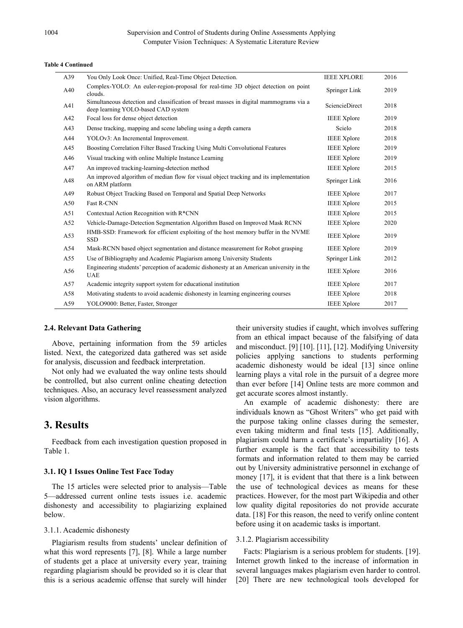#### **Table 4 Continued**

| A39 | You Only Look Once: Unified, Real-Time Object Detection.                                                                      | <b>IEEE XPLORE</b>    | 2016 |
|-----|-------------------------------------------------------------------------------------------------------------------------------|-----------------------|------|
| A40 | Complex-YOLO: An euler-region-proposal for real-time 3D object detection on point<br>clouds.                                  | Springer Link         | 2019 |
| A41 | Simultaneous detection and classification of breast masses in digital mammograms via a<br>deep learning YOLO-based CAD system | <b>SciencieDirect</b> | 2018 |
| A42 | Focal loss for dense object detection                                                                                         | <b>IEEE</b> Xplore    | 2019 |
| A43 | Dense tracking, mapping and scene labeling using a depth camera                                                               | Scielo                | 2018 |
| A44 | YOLOv3: An Incremental Improvement.                                                                                           | <b>IEEE</b> Xplore    | 2018 |
| A45 | Boosting Correlation Filter Based Tracking Using Multi Convolutional Features                                                 | <b>IEEE</b> Xplore    | 2019 |
| A46 | Visual tracking with online Multiple Instance Learning                                                                        | <b>IEEE Xplore</b>    | 2019 |
| A47 | An improved tracking-learning-detection method                                                                                | <b>IEEE</b> Xplore    | 2015 |
| A48 | An improved algorithm of median flow for visual object tracking and its implementation<br>on ARM platform                     | Springer Link         | 2016 |
| A49 | Robust Object Tracking Based on Temporal and Spatial Deep Networks                                                            | <b>IEEE</b> Xplore    | 2017 |
| A50 | <b>Fast R-CNN</b>                                                                                                             | <b>IEEE</b> Xplore    | 2015 |
| A51 | Contextual Action Recognition with R*CNN                                                                                      | <b>IEEE</b> Xplore    | 2015 |
| A52 | Vehicle-Damage-Detection Segmentation Algorithm Based on Improved Mask RCNN                                                   | <b>IEEE</b> Xplore    | 2020 |
| A53 | HMB-SSD: Framework for efficient exploiting of the host memory buffer in the NVME<br><b>SSD</b>                               | <b>IEEE</b> Xplore    | 2019 |
| A54 | Mask-RCNN based object segmentation and distance measurement for Robot grasping                                               | <b>IEEE</b> Xplore    | 2019 |
| A55 | Use of Bibliography and Academic Plagiarism among University Students                                                         | Springer Link         | 2012 |
| A56 | Engineering students' perception of academic dishonesty at an American university in the<br><b>UAE</b>                        | <b>IEEE</b> Xplore    | 2016 |
| A57 | Academic integrity support system for educational institution                                                                 | <b>IEEE</b> Xplore    | 2017 |
| A58 | Motivating students to avoid academic dishonesty in learning engineering courses                                              | <b>IEEE</b> Xplore    | 2018 |
| A59 | YOLO9000: Better, Faster, Stronger                                                                                            | <b>IEEE</b> Xplore    | 2017 |

#### **2.4. Relevant Data Gathering**

Above, pertaining information from the 59 articles listed. Next, the categorized data gathered was set aside for analysis, discussion and feedback interpretation.

Not only had we evaluated the way online tests should be controlled, but also current online cheating detection techniques. Also, an accuracy level reassessment analyzed vision algorithms.

# **3. Results**

Feedback from each investigation question proposed in Table 1.

#### **3.1. IQ 1 Issues Online Test Face Today**

The 15 articles were selected prior to analysis—Table 5—addressed current online tests issues i.e. academic dishonesty and accessibility to plagiarizing explained below.

#### 3.1.1. Academic dishonesty

Plagiarism results from students' unclear definition of what this word represents [7], [8]. While a large number of students get a place at university every year, training regarding plagiarism should be provided so it is clear that this is a serious academic offense that surely will hinder

their university studies if caught, which involves suffering from an ethical impact because of the falsifying of data and misconduct. [9] [10]. [11], [12]. Modifying University policies applying sanctions to students performing academic dishonesty would be ideal [13] since online learning plays a vital role in the pursuit of a degree more than ever before [14] Online tests are more common and get accurate scores almost instantly.

An example of academic dishonesty: there are individuals known as "Ghost Writers" who get paid with the purpose taking online classes during the semester, even taking midterm and final tests [15]. Additionally, plagiarism could harm a certificate's impartiality [16]. A further example is the fact that accessibility to tests formats and information related to them may be carried out by University administrative personnel in exchange of money [17], it is evident that that there is a link between the use of technological devices as means for these practices. However, for the most part Wikipedia and other low quality digital repositories do not provide accurate data. [18] For this reason, the need to verify online content before using it on academic tasks is important.

#### 3.1.2. Plagiarism accessibility

Facts: Plagiarism is a serious problem for students. [19]. Internet growth linked to the increase of information in several languages makes plagiarism even harder to control. [20] There are new technological tools developed for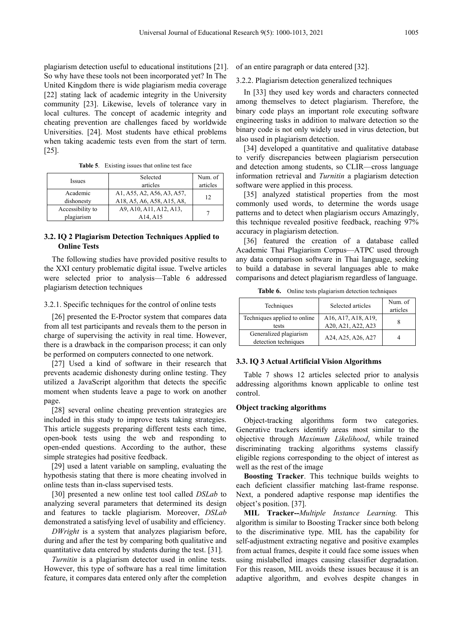plagiarism detection useful to educational institutions [21]. So why have these tools not been incorporated yet? In The United Kingdom there is wide plagiarism media coverage [22] stating lack of academic integrity in the University community [23]. Likewise, levels of tolerance vary in local cultures. The concept of academic integrity and cheating prevention are challenges faced by worldwide Universities. [24]. Most students have ethical problems when taking academic tests even from the start of term. [25].

| Issues                         | Selected<br>articles                                         | Num. of<br>articles |
|--------------------------------|--------------------------------------------------------------|---------------------|
| Academic<br>dishonesty         | A1, A55, A2, A56, A3, A57,<br>A18, A5, A6, A58, A15, A8,     | 12                  |
| Accessibility to<br>plagiarism | A9, A10, A11, A12, A13,<br>A <sub>14</sub> , A <sub>15</sub> |                     |

## **3.2. IQ 2 Plagiarism Detection Techniques Applied to Online Tests**

The following studies have provided positive results to the XXI century problematic digital issue. Twelve articles were selected prior to analysis—Table 6 addressed plagiarism detection techniques

#### 3.2.1. Specific techniques for the control of online tests

[26] presented the E-Proctor system that compares data from all test participants and reveals them to the person in charge of supervising the activity in real time. However, there is a drawback in the comparison process; it can only be performed on computers connected to one network.

[27] Used a kind of software in their research that prevents academic dishonesty during online testing. They utilized a JavaScript algorithm that detects the specific moment when students leave a page to work on another page.

[28] several online cheating prevention strategies are included in this study to improve tests taking strategies. This article suggests preparing different tests each time, open-book tests using the web and responding to open-ended questions. According to the author, these simple strategies had positive feedback.

[29] used a latent variable on sampling, evaluating the hypothesis stating that there is more cheating involved in online tests than in-class supervised tests.

[30] presented a new online test tool called *DSLab* to analyzing several parameters that determined its design and features to tackle plagiarism. Moreover, *DSLab* demonstrated a satisfying level of usability and efficiency.

*DWright* is a system that analyzes plagiarism before, during and after the test by comparing both qualitative and quantitative data entered by students during the test. [31].

*Turnitin* is a plagiarism detector used in online tests. However, this type of software has a real time limitation feature, it compares data entered only after the completion of an entire paragraph or data entered [32].

3.2.2. Plagiarism detection generalized techniques

In [33] they used key words and characters connected among themselves to detect plagiarism. Therefore, the binary code plays an important role executing software engineering tasks in addition to malware detection so the binary code is not only widely used in virus detection, but also used in plagiarism detection.

[34] developed a quantitative and qualitative database to verify discrepancies between plagiarism persecution and detection among students, so CLIR—cross language information retrieval and *Turnitin* a plagiarism detection software were applied in this process.

[35] analyzed statistical properties from the most commonly used words, to determine the words usage patterns and to detect when plagiarism occurs Amazingly, this technique revealed positive feedback, reaching 97% accuracy in plagiarism detection.

[36] featured the creation of a database called Academic Thai Plagiarism Corpus—ATPC used through any data comparison software in Thai language, seeking to build a database in several languages able to make comparisons and detect plagiarism regardless of language.

**Table 6.** Online tests plagiarism detection techniques

| Techniques                                     | Selected articles                         | Num. of<br>articles |
|------------------------------------------------|-------------------------------------------|---------------------|
| Techniques applied to online<br>tests          | A16, A17, A18, A19,<br>A20, A21, A22, A23 |                     |
| Generalized plagiarism<br>detection techniques | A24, A25, A26, A27                        |                     |

#### **3.3. IQ 3 Actual Artificial Vision Algorithms**

Table 7 shows 12 articles selected prior to analysis addressing algorithms known applicable to online test control.

#### **Object tracking algorithms**

Object-tracking algorithms form two categories. Generative trackers identify areas most similar to the objective through *Maximum Likelihood*, while trained discriminating tracking algorithms systems classify eligible regions corresponding to the object of interest as well as the rest of the image

**Boosting Tracker**. This technique builds weights to each deficient classifier matching last-frame response. Next, a pondered adaptive response map identifies the object's position. [37].

**MIL Tracker--***Multiple Instance Learning.* This algorithm is similar to Boosting Tracker since both belong to the discriminative type. MIL has the capability for self-adjustment extracting negative and positive examples from actual frames, despite it could face some issues when using mislabelled images causing classifier degradation. For this reason, MIL avoids these issues because it is an adaptive algorithm, and evolves despite changes in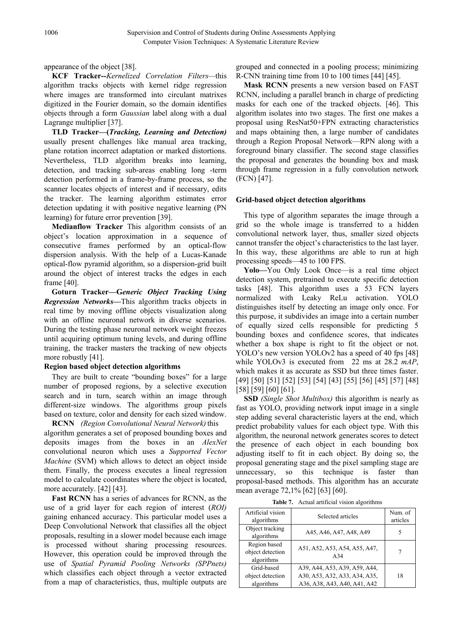appearance of the object [38].

**KCF Tracker--***Kernelized Correlation Filters—*this algorithm tracks objects with kernel ridge regression where images are transformed into circulant matrixes digitized in the Fourier domain, so the domain identifies objects through a form *Gaussian* label along with a dual Lagrange multiplier [37].

**TLD Tracker—(***Tracking, Learning and Detection)* usually present challenges like manual area tracking, plane rotation incorrect adaptation or marked distortions. Nevertheless, TLD algorithm breaks into learning, detection, and tracking sub-areas enabling long -term detection performed in a frame-by-frame process, so the scanner locates objects of interest and if necessary, edits the tracker. The learning algorithm estimates error detection updating it with positive negative learning (PN learning) for future error prevention [39].

**Medianflow Tracker** This algorithm consists of an object's location approximation in a sequence of consecutive frames performed by an optical-flow dispersion analysis. With the help of a Lucas-Kanade optical-flow pyramid algorithm, so a dispersion-grid built around the object of interest tracks the edges in each frame [40].

**Goturn Tracker—G***eneric Object Tracking Using Regression Networks—*This algorithm tracks objects in real time by moving offline objects visualization along with an offline neuronal network in diverse scenarios. During the testing phase neuronal network weight freezes until acquiring optimum tuning levels, and during offline training, the tracker masters the tracking of new objects more robustly [41].

# **Region based object detection algorithms**

They are built to create "bounding boxes" for a large number of proposed regions, by a selective execution search and in turn, search within an image through different-size windows. The algorithms group pixels based on texture, color and density for each sized window.

**RCNN** *(Region Convolutional Neural Network)*this algorithm generates a set of proposed bounding boxes and deposits images from the boxes in an *AlexNet* convolutional neuron which uses a *Supported Vector Machine* (SVM) which allows to detect an object inside them. Finally, the process executes a lineal regression model to calculate coordinates where the object is located, more accurately. [42] [43].

**Fast RCNN** has a series of advances for RCNN, as the use of a grid layer for each region of interest (*ROI)* gaining enhanced accuracy. This particular model uses a Deep Convolutional Network that classifies all the object proposals, resulting in a slower model because each image is processed without sharing processing resources. However, this operation could be improved through the use of *Spatial Pyramid Pooling Networks (SPPnets)* which classifies each object through a vector extracted from a map of characteristics, thus, multiple outputs are

grouped and connected in a pooling process; minimizing R-CNN training time from 10 to 100 times [44] [45].

**Mask RCNN** presents a new version based on FAST RCNN, including a parallel branch in charge of predicting masks for each one of the tracked objects. [46]. This algorithm isolates into two stages. The first one makes a proposal using ResNat50+FPN extracting characteristics and maps obtaining then, a large number of candidates through a Region Proposal Network—RPN along with a foreground binary classifier. The second stage classifies the proposal and generates the bounding box and mask through frame regression in a fully convolution network (FCN) [47].

# **Grid-based object detection algorithms**

This type of algorithm separates the image through a grid so the whole image is transferred to a hidden convolutional network layer, thus, smaller sized objects cannot transfer the object's characteristics to the last layer. In this way, these algorithms are able to run at high processing speeds—45 to 100 FPS.

**Yolo—**You Only Look Once—is a real time object detection system, pretrained to execute specific detection tasks [48]. This algorithm uses a 53 FCN layers normalized with Leaky ReLu activation. YOLO distinguishes itself by detecting an image only once. For this purpose, it subdivides an image into a certain number of equally sized cells responsible for predicting 5 bounding boxes and confidence scores, that indicates whether a box shape is right to fit the object or not. YOLO's new version YOLOv2 has a speed of 40 fps [48] while YOLOv3 is executed from 22 ms at 28.2 *mAP*, which makes it as accurate as SSD but three times faster. [49] [50] [51] [52] [53] [54] [43] [55] [56] [45] [57] [48] [58] [59] [60] [61].

**SSD** *(Single Shot Multibox)* this algorithm is nearly as fast as YOLO, providing network input image in a single step adding several characteristic layers at the end, which predict probability values for each object type. With this algorithm, the neuronal network generates scores to detect the presence of each object in each bounding box adjusting itself to fit in each object. By doing so, the proposal generating stage and the pixel sampling stage are unnecessary, so this technique is faster than proposal-based methods. This algorithm has an accurate mean average 72,1% [62] [63] [60].

**Table 7.** Actual artificial vision algorithms

| Artificial vision<br>algorithms                | Selected articles                                                                              | Num. of<br>articles |
|------------------------------------------------|------------------------------------------------------------------------------------------------|---------------------|
| Object tracking<br>algorithms                  | A45, A46, A47, A48, A49                                                                        | 5                   |
| Region based<br>object detection<br>algorithms | A51, A52, A53, A54, A55, A47,<br>A <sub>34</sub>                                               |                     |
| Grid-based<br>object detection<br>algorithms   | A39, A44, A53, A39, A59, A44,<br>A30, A53, A32, A33, A34, A35,<br>A36, A38, A43, A40, A41, A42 | 18                  |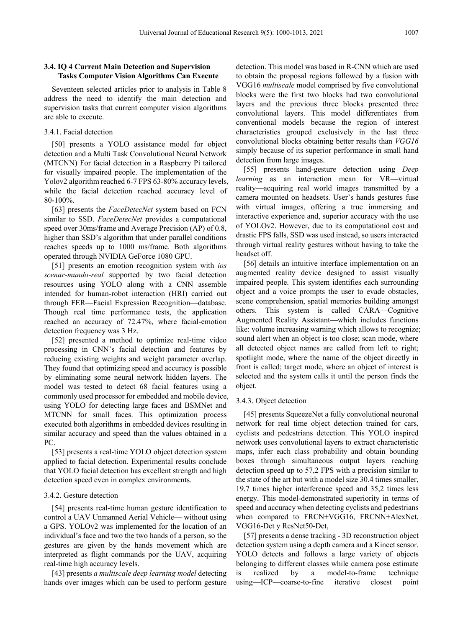## **3.4. IQ 4 Current Main Detection and Supervision Tasks Computer Vision Algorithms Can Execute**

Seventeen selected articles prior to analysis in Table 8 address the need to identify the main detection and supervision tasks that current computer vision algorithms are able to execute.

# 3.4.1. Facial detection

[50] presents a YOLO assistance model for object detection and a Multi Task Convolutional Neural Network (MTCNN) For facial detection in a Raspberry Pi tailored for visually impaired people. The implementation of the Yolov2 algorithm reached 6-7 FPS 63-80% accuracy levels, while the facial detection reached accuracy level of 80-100%.

[63] presents the *FaceDetecNet* system based on FCN similar to SSD. *FaceDetecNet* provides a computational speed over 30ms/frame and Average Precision (AP) of 0.8, higher than SSD's algorithm that under parallel conditions reaches speeds up to 1000 ms/frame. Both algorithms operated through NVIDIA GeForce 1080 GPU.

[51] presents an emotion recognition system with *ios scenar-mundo-real* supported by two facial detection resources using YOLO along with a CNN assemble intended for human-robot interaction (HRI) carried out through FER—Facial Expression Recognition—database. Though real time performance tests, the application reached an accuracy of 72.47%, where facial-emotion detection frequency was 3 Hz.

[52] presented a method to optimize real-time video processing in CNN's facial detection and features by reducing existing weights and weight parameter overlap. They found that optimizing speed and accuracy is possible by eliminating some neural network hidden layers. The model was tested to detect 68 facial features using a commonly used processor for embedded and mobile device, using YOLO for detecting large faces and BSMNet and MTCNN for small faces. This optimization process executed both algorithms in embedded devices resulting in similar accuracy and speed than the values obtained in a PC.

[53] presents a real-time YOLO object detection system applied to facial detection. Experimental results conclude that YOLO facial detection has excellent strength and high detection speed even in complex environments.

#### 3.4.2. Gesture detection

[54] presents real-time human gesture identification to control a UAV Unmanned Aerial Vehicle— without using a GPS. YOLOv2 was implemented for the location of an individual's face and two the two hands of a person, so the gestures are given by the hands movement which are interpreted as flight commands por the UAV, acquiring real-time high accuracy levels.

[43] presents *a multiscale deep learning model* detecting hands over images which can be used to perform gesture detection. This model was based in R-CNN which are used to obtain the proposal regions followed by a fusion with VGG16 *multiscale* model comprised by five convolutional blocks were the first two blocks had two convolutional layers and the previous three blocks presented three convolutional layers. This model differentiates from conventional models because the region of interest characteristics grouped exclusively in the last three convolutional blocks obtaining better results than *VGG16* simply because of its superior performance in small hand detection from large images.

[55] presents hand-gesture detection using *Deep learning* as an interaction mean for VR—virtual reality—acquiring real world images transmitted by a camera mounted on headsets. User's hands gestures fuse with virtual images, offering a true immersing and interactive experience and, superior accuracy with the use of YOLOv2. However, due to its computational cost and drastic FPS falls, SSD was used instead, so users interacted through virtual reality gestures without having to take the headset off.

[56] details an intuitive interface implementation on an augmented reality device designed to assist visually impaired people. This system identifies each surrounding object and a voice prompts the user to evade obstacles, scene comprehension, spatial memories building amongst others. This system is called CARA—Cognitive Augmented Reality Assistant—which includes functions like: volume increasing warning which allows to recognize; sound alert when an object is too close; scan mode, where all detected object names are called from left to right; spotlight mode, where the name of the object directly in front is called; target mode, where an object of interest is selected and the system calls it until the person finds the object.

## 3.4.3. Object detection

[45] presents SqueezeNet a fully convolutional neuronal network for real time object detection trained for cars, cyclists and pedestrians detection. This YOLO inspired network uses convolutional layers to extract characteristic maps, infer each class probability and obtain bounding boxes through simultaneous output layers reaching detection speed up to 57,2 FPS with a precision similar to the state of the art but with a model size 30.4 times smaller, 19,7 times higher interference speed and 35,2 times less energy. This model-demonstrated superiority in terms of speed and accuracy when detecting cyclists and pedestrians when compared to FRCN+VGG16, FRCNN+AlexNet, VGG16-Det y ResNet50-Det,

[57] presents a dense tracking - 3D reconstruction object detection system using a depth camera and a Kinect sensor. YOLO detects and follows a large variety of objects belonging to different classes while camera pose estimate is realized by a model-to-frame technique using—ICP—coarse-to-fine iterative closest point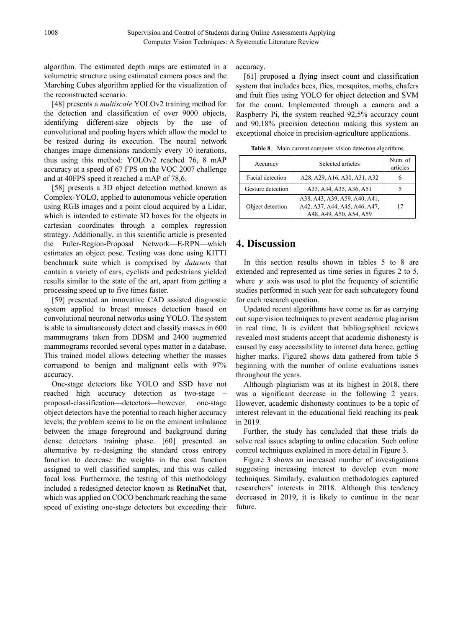algorithm. The estimated depth maps are estimated in a volumetric structure using estimated camera poses and the Marching Cubes algorithm applied for the visualization of the reconstructed scenario.

[48] presents a *multiscale* YOLOv2 training method for the detection and classification of over 9000 objects, identifying different-size objects by the use of convolutional and pooling layers which allow the model to be resized during its execution. The neural network changes image dimensions randomly every 10 iterations, thus using this method: YOLOv2 reached 76, 8 mAP accuracy at a speed of 67 FPS on the VOC 2007 challenge and at 40FPS speed it reached a mAP of 78,6.

[58] presents a 3D object detection method known as Complex-YOLO, applied to autonomous vehicle operation using RGB images and a point cloud acquired by a Lidar, which is intended to estimate 3D boxes for the objects in cartesian coordinates through a complex regression strategy. Additionally, in this scientific article is presented the Euler-Region-Proposal Network—E-RPN—which estimates an object pose. Testing was done using KITTI benchmark suite which is comprised by *datasets* that contain a variety of cars, cyclists and pedestrians yielded results similar to the state of the art, apart from getting a processing speed up to five times faster.

[59] presented an innovative CAD assisted diagnostic system applied to breast masses detection based on convolutional neuronal networks using YOLO. The system is able to simultaneously detect and classify masses in 600 mammograms taken from DDSM and 2400 augmented mammograms recorded several types matter in a database. This trained model allows detecting whether the masses correspond to benign and malignant cells with 97% accuracy.

One-stage detectors like YOLO and SSD have not reached high accuracy detection as two-stage – proposal-classification—detectors—however, one-stage object detectors have the potential to reach higher accuracy levels; the problem seems to lie on the eminent imbalance between the image foreground and background during dense detectors training phase. [60] presented an alternative by re-designing the standard cross entropy function to decrease the weights in the cost function assigned to well classified samples, and this was called focal loss. Furthermore, the testing of this methodology included a redesigned detector known as **RetinaNet** that, which was applied on COCO benchmark reaching the same speed of existing one-stage detectors but exceeding their

accuracy.

[61] proposed a flying insect count and classification system that includes bees, flies, mosquitos, moths, chafers and fruit flies using YOLO for object detection and SVM for the count. Implemented through a camera and a Raspberry Pi, the system reached 92,5% accuracy count and 90,18% precision detection making this system an exceptional choice in precision-agriculture applications.

**Table 8**. Main current computer vision detection algorithms

| Accuracy          | Selected articles                                                                         | Num. of<br>articles |
|-------------------|-------------------------------------------------------------------------------------------|---------------------|
| Facial detection  | A28, A29, A16, A30, A31, A32                                                              | 6                   |
| Gesture detection | A33, A34, A35, A36, A51                                                                   |                     |
| Object detection  | A38, A43, A39, A59, A40, A41,<br>A42, A37, A44, A45, A46, A47,<br>A48, A49, A50, A54, A59 | 17                  |

# **4. Discussion**

In this section results shown in tables 5 to 8 are extended and represented as time series in figures 2 to 5, where  $y$  axis was used to plot the frequency of scientific studies performed in such year for each subcategory found for each research question.

Updated recent algorithms have come as far as carrying out supervision techniques to prevent academic plagiarism in real time. It is evident that bibliographical reviews revealed most students accept that academic dishonesty is caused by easy accessibility to internet data hence, getting higher marks. Figure2 shows data gathered from table 5 beginning with the number of online evaluations issues throughout the years.

Although plagiarism was at its highest in 2018, there was a significant decrease in the following 2 years. However, academic dishonesty continues to be a topic of interest relevant in the educational field reaching its peak in 2019.

Further, the study has concluded that these trials do solve real issues adapting to online education. Such online control techniques explained in more detail in Figure 3.

Figure 3 shows an increased number of investigations suggesting increasing interest to develop even more techniques. Similarly, evaluation methodologies captured researchers' interests in 2018. Although this tendency decreased in 2019, it is likely to continue in the near future.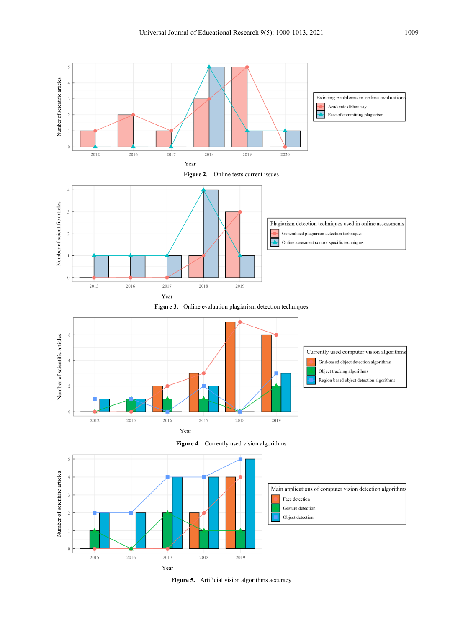









**Figure 5.** Artificial vision algorithms accuracy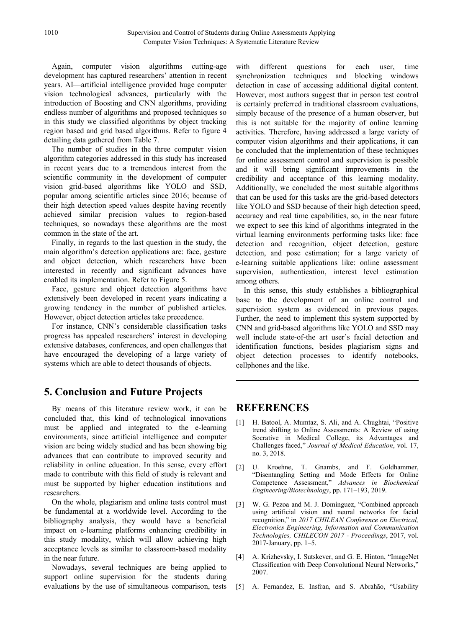Again, computer vision algorithms cutting-age development has captured researchers' attention in recent years. AI—artificial intelligence provided huge computer vision technological advances, particularly with the introduction of Boosting and CNN algorithms, providing endless number of algorithms and proposed techniques so in this study we classified algorithms by object tracking region based and grid based algorithms. Refer to figure 4 detailing data gathered from Table 7.

The number of studies in the three computer vision algorithm categories addressed in this study has increased in recent years due to a tremendous interest from the scientific community in the development of computer vision grid-based algorithms like YOLO and SSD, popular among scientific articles since 2016; because of their high detection speed values despite having recently achieved similar precision values to region-based techniques, so nowadays these algorithms are the most common in the state of the art.

Finally, in regards to the last question in the study, the main algorithm's detection applications are: face, gesture and object detection, which researchers have been interested in recently and significant advances have enabled its implementation. Refer to Figure 5.

Face, gesture and object detection algorithms have extensively been developed in recent years indicating a growing tendency in the number of published articles. However, object detection articles take precedence.

For instance, CNN's considerable classification tasks progress has appealed researchers' interest in developing extensive databases, conferences, and open challenges that have encouraged the developing of a large variety of systems which are able to detect thousands of objects.

# **5. Conclusion and Future Projects**

By means of this literature review work, it can be concluded that, this kind of technological innovations must be applied and integrated to the e-learning environments, since artificial intelligence and computer vision are being widely studied and has been showing big advances that can contribute to improved security and reliability in online education. In this sense, every effort made to contribute with this field of study is relevant and must be supported by higher education institutions and researchers.

On the whole, plagiarism and online tests control must be fundamental at a worldwide level. According to the bibliography analysis, they would have a beneficial impact on e-learning platforms enhancing credibility in this study modality, which will allow achieving high acceptance levels as similar to classroom-based modality in the near future.

Nowadays, several techniques are being applied to support online supervision for the students during evaluations by the use of simultaneous comparison, tests with different questions for each user, time synchronization techniques and blocking windows detection in case of accessing additional digital content. However, most authors suggest that in person test control is certainly preferred in traditional classroom evaluations, simply because of the presence of a human observer, but this is not suitable for the majority of online learning activities. Therefore, having addressed a large variety of computer vision algorithms and their applications, it can be concluded that the implementation of these techniques for online assessment control and supervision is possible and it will bring significant improvements in the credibility and acceptance of this learning modality. Additionally, we concluded the most suitable algorithms that can be used for this tasks are the grid-based detectors like YOLO and SSD because of their high detection speed, accuracy and real time capabilities, so, in the near future we expect to see this kind of algorithms integrated in the virtual learning environments performing tasks like: face detection and recognition, object detection, gesture detection, and pose estimation; for a large variety of e-learning suitable applications like: online assessment supervision, authentication, interest level estimation among others.

In this sense, this study establishes a bibliographical base to the development of an online control and supervision system as evidenced in previous pages. Further, the need to implement this system supported by CNN and grid-based algorithms like YOLO and SSD may well include state-of-the art user's facial detection and identification functions, besides plagiarism signs and object detection processes to identify notebooks, cellphones and the like.

# **REFERENCES**

- [1] H. Batool, A. Mumtaz, S. Ali, and A. Chughtai, "Positive trend shifting to Online Assessments: A Review of using Socrative in Medical College, its Advantages and Challenges faced," *Journal of Medical Education*, vol. 17, no. 3, 2018.
- [2] U. Kroehne, T. Gnambs, and F. Goldhammer, "Disentangling Setting and Mode Effects for Online Competence Assessment," *Advances in Biochemical Engineering/Biotechnology*, pp. 171–193, 2019.
- [3] W. G. Pezoa and M. J. Domínguez, "Combined approach using artificial vision and neural networks for facial recognition," in *2017 CHILEAN Conference on Electrical, Electronics Engineering, Information and Communication Technologies, CHILECON 2017 - Proceedings*, 2017, vol. 2017-January, pp. 1–5.
- [4] A. Krizhevsky, I. Sutskever, and G. E. Hinton, "ImageNet Classification with Deep Convolutional Neural Networks," 2007.
- [5] A. Fernandez, E. Insfran, and S. Abrahão, "Usability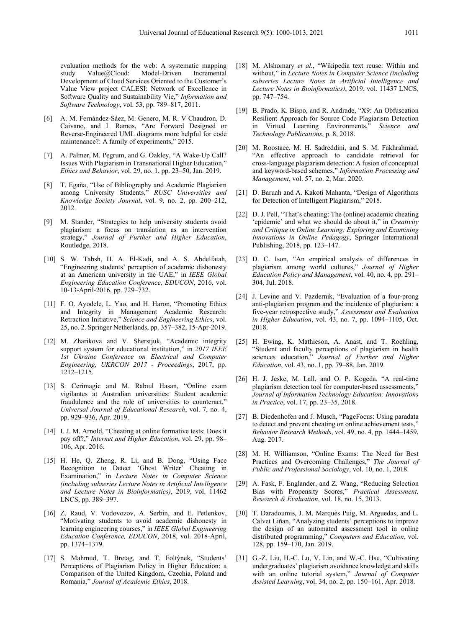evaluation methods for the web: A systematic mapping<br>study Value@Cloud: Model-Driven Incremental  $Value@C$ loud: Development of Cloud Services Oriented to the Customer's Value View project CALESI: Network of Excellence in Software Quality and Sustainability Vie," *Information and Software Technology*, vol. 53, pp. 789–817, 2011.

- [6] A. M. Fernández-Sáez, M. Genero, M. R. V Chaudron, D. Caivano, and I. Ramos, "Are Forward Designed or Reverse-Engineered UML diagrams more helpful for code maintenance?: A family of experiments," 2015.
- [7] A. Palmer, M. Pegrum, and G. Oakley, "A Wake-Up Call? Issues With Plagiarism in Transnational Higher Education," *Ethics and Behavior*, vol. 29, no. 1, pp. 23–50, Jan. 2019.
- [8] T. Egaña, "Use of Bibliography and Academic Plagiarism among University Students," *RUSC Universities and Knowledge Society Journal*, vol. 9, no. 2, pp. 200–212, 2012.
- [9] M. Stander, "Strategies to help university students avoid plagiarism: a focus on translation as an intervention strategy," *Journal of Further and Higher Education*, Routledge, 2018.
- [10] S. W. Tabsh, H. A. El-Kadi, and A. S. Abdelfatah, "Engineering students' perception of academic dishonesty at an American university in the UAE," in *IEEE Global Engineering Education Conference, EDUCON*, 2016, vol. 10-13-April-2016, pp. 729–732.
- [11] F. O. Ayodele, L. Yao, and H. Haron, "Promoting Ethics and Integrity in Management Academic Research: Retraction Initiative," *Science and Engineering Ethics*, vol. 25, no. 2. Springer Netherlands, pp. 357–382, 15-Apr-2019.
- [12] M. Zharikova and V. Sherstjuk, "Academic integrity support system for educational institution," in *2017 IEEE 1st Ukraine Conference on Electrical and Computer Engineering, UKRCON 2017 - Proceedings*, 2017, pp. 1212–1215.
- [13] S. Cerimagic and M. Rabıul Hasan, "Online exam vigilantes at Australian universities: Student academic fraudulence and the role of universities to counteract," *Universal Journal of Educational Research*, vol. 7, no. 4, pp. 929–936, Apr. 2019.
- [14] I. J. M. Arnold, "Cheating at online formative tests: Does it pay off?," *Internet and Higher Education*, vol. 29, pp. 98– 106, Apr. 2016.
- [15] H. He, Q. Zheng, R. Li, and B. Dong, "Using Face Recognition to Detect 'Ghost Writer' Cheating in Examination," in *Lecture Notes in Computer Science (including subseries Lecture Notes in Artificial Intelligence and Lecture Notes in Bioinformatics)*, 2019, vol. 11462 LNCS, pp. 389–397.
- [16] Z. Raud, V. Vodovozov, A. Serbin, and E. Petlenkov, "Motivating students to avoid academic dishonesty in learning engineering courses," in *IEEE Global Engineering Education Conference, EDUCON*, 2018, vol. 2018-April, pp. 1374–1379.
- [17] S. Mahmud, T. Bretag, and T. Foltýnek, "Students' Perceptions of Plagiarism Policy in Higher Education: a Comparison of the United Kingdom, Czechia, Poland and Romania," *Journal of Academic Ethics*, 2018.
- [18] M. Alshomary *et al.*, "Wikipedia text reuse: Within and without," in *Lecture Notes in Computer Science (including subseries Lecture Notes in Artificial Intelligence and Lecture Notes in Bioinformatics)*, 2019, vol. 11437 LNCS, pp. 747–754.
- [19] B. Prado, K. Bispo, and R. Andrade, "X9: An Obfuscation Resilient Approach for Source Code Plagiarism Detection in Virtual Learning Environments," *Science and Technology Publications*, p. 8, 2018.
- [20] M. Roostaee, M. H. Sadreddini, and S. M. Fakhrahmad, "An effective approach to candidate retrieval for cross-language plagiarism detection: A fusion of conceptual and keyword-based schemes," *Information Processing and Management*, vol. 57, no. 2, Mar. 2020.
- [21] D. Baruah and A. Kakoti Mahanta, "Design of Algorithms for Detection of Intelligent Plagiarism," 2018.
- [22] D. J. Pell, "That's cheating: The (online) academic cheating 'epidemic' and what we should do about it," in *Creativity and Critique in Online Learning: Exploring and Examining Innovations in Online Pedagogy*, Springer International Publishing, 2018, pp. 123–147.
- [23] D. C. Ison, "An empirical analysis of differences in plagiarism among world cultures," *Journal of Higher Education Policy and Management*, vol. 40, no. 4, pp. 291– 304, Jul. 2018.
- [24] J. Levine and V. Pazdernik, "Evaluation of a four-prong anti-plagiarism program and the incidence of plagiarism: a five-year retrospective study," *Assessment and Evaluation in Higher Education*, vol. 43, no. 7, pp. 1094–1105, Oct. 2018.
- [25] H. Ewing, K. Mathieson, A. Anast, and T. Roehling, "Student and faculty perceptions of plagiarism in health sciences education," *Journal of Further and Higher Education*, vol. 43, no. 1, pp. 79–88, Jan. 2019.
- [26] H. J. Jeske, M. Lall, and O. P. Kogeda, "A real-time plagiarism detection tool for computer-based assessments," *Journal of Information Technology Education: Innovations in Practice*, vol. 17, pp. 23–35, 2018.
- [27] B. Diedenhofen and J. Musch, "PageFocus: Using paradata to detect and prevent cheating on online achievement tests," *Behavior Research Methods*, vol. 49, no. 4, pp. 1444–1459, Aug. 2017.
- [28] M. H. Williamson, "Online Exams: The Need for Best Practices and Overcoming Challenges," *The Journal of Public and Professional Sociology*, vol. 10, no. 1, 2018.
- [29] A. Fask, F. Englander, and Z. Wang, "Reducing Selection Bias with Propensity Scores," *Practical Assessment, Research & Evaluation*, vol. 18, no. 15, 2013.
- [30] T. Daradoumis, J. M. Marquès Puig, M. Arguedas, and L. Calvet Liñan, "Analyzing students' perceptions to improve the design of an automated assessment tool in online distributed programming," *Computers and Education*, vol. 128, pp. 159–170, Jan. 2019.
- [31] G.-Z. Liu, H.-C. Lu, V. Lin, and W.-C. Hsu, "Cultivating undergraduates' plagiarism avoidance knowledge and skills with an online tutorial system," *Journal of Computer Assisted Learning*, vol. 34, no. 2, pp. 150–161, Apr. 2018.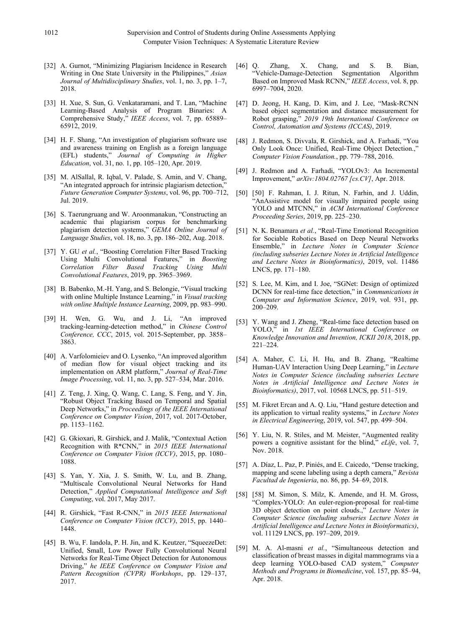- [32] A. Gurnot, "Minimizing Plagiarism Incidence in Research Writing in One State University in the Philippines," *Asian Journal of Multidisciplinary Studies*, vol. 1, no. 3, pp. 1–7, 2018.
- [33] H. Xue, S. Sun, G. Venkataramani, and T. Lan, "Machine Learning-Based Analysis of Program Binaries: A Comprehensive Study," *IEEE Access*, vol. 7, pp. 65889– 65912, 2019.
- [34] H. F. Shang, "An investigation of plagiarism software use and awareness training on English as a foreign language (EFL) students," *Journal of Computing in Higher Education*, vol. 31, no. 1, pp. 105–120, Apr. 2019.
- [35] M. AlSallal, R. Iqbal, V. Palade, S. Amin, and V. Chang, "An integrated approach for intrinsic plagiarism detection," *Future Generation Computer Systems*, vol. 96, pp. 700–712, Jul. 2019.
- [36] S. Taerungruang and W. Aroonmanakun, "Constructing an academic thai plagiarism corpus for benchmarking plagiarism detection systems," *GEMA Online Journal of Language Studies*, vol. 18, no. 3, pp. 186–202, Aug. 2018.
- [37] Y. GU *et al.*, "Boosting Correlation Filter Based Tracking Using Multi Convolutional Features," in *Boosting Correlation Filter Based Tracking Using Multi Convolutional Features*, 2019, pp. 3965–3969.
- [38] B. Babenko, M.-H. Yang, and S. Belongie, "Visual tracking with online Multiple Instance Learning," in *Visual tracking with online Multiple Instance Learning*, 2009, pp. 983–990.
- [39] H. Wen, G. Wu, and J. Li, "An improved tracking-learning-detection method," in *Chinese Control Conference, CCC*, 2015, vol. 2015-September, pp. 3858– 3863.
- [40] A. Varfolomieiev and O. Lysenko, "An improved algorithm of median flow for visual object tracking and its implementation on ARM platform," *Journal of Real-Time Image Processing*, vol. 11, no. 3, pp. 527–534, Mar. 2016.
- [41] Z. Teng, J. Xing, O. Wang, C. Lang, S. Feng, and Y. Jin, "Robust Object Tracking Based on Temporal and Spatial Deep Networks," in *Proceedings of the IEEE International Conference on Computer Vision*, 2017, vol. 2017-October, pp. 1153–1162.
- [42] G. Gkioxari, R. Girshick, and J. Malik, "Contextual Action Recognition with R\*CNN," in *2015 IEEE International Conference on Computer Vision (ICCV)*, 2015, pp. 1080– 1088.
- [43] S. Yan, Y. Xia, J. S. Smith, W. Lu, and B. Zhang, "Multiscale Convolutional Neural Networks for Hand Detection," *Applied Computational Intelligence and Soft Computing*, vol. 2017, May 2017.
- [44] R. Girshick, "Fast R-CNN," in *2015 IEEE International Conference on Computer Vision (ICCV)*, 2015, pp. 1440– 1448.
- [45] B. Wu, F. Iandola, P. H. Jin, and K. Keutzer, "SqueezeDet: Unified, Small, Low Power Fully Convolutional Neural Networks for Real-Time Object Detection for Autonomous Driving," *he IEEE Conference on Computer Vision and Pattern Recognition (CVPR) Workshops*, pp. 129–137, 2017.
- [46] Q. Zhang, X. Chang, and S. B. Bian, "Vehicle-Damage-Detection Segmentation Algorithm Based on Improved Mask RCNN," *IEEE Access*, vol. 8, pp. 6997–7004, 2020.
- [47] D. Jeong, H. Kang, D. Kim, and J. Lee, "Mask-RCNN based object segmentation and distance measurement for Robot grasping," *2019 19th International Conference on Control, Automation and Systems (ICCAS)*, 2019.
- [48] J. Redmon, S. Divvala, R. Girshick, and A. Farhadi, "You Only Look Once: Unified, Real-Time Object Detection.," *Computer Vision Foundation.*, pp. 779–788, 2016.
- [49] J. Redmon and A. Farhadi, "YOLOv3: An Incremental Improvement," *arXiv:1804.02767 [cs.CV]*, Apr. 2018.
- [50] [50] F. Rahman, I. J. Ritun, N. Farhin, and J. Uddin, "AnAssistive model for visually impaired people using YOLO and MTCNN," in *ACM International Conference Proceeding Series*, 2019, pp. 225–230.
- [51] N. K. Benamara *et al.*, "Real-Time Emotional Recognition for Sociable Robotics Based on Deep Neural Networks Ensemble," in *Lecture Notes in Computer Science (including subseries Lecture Notes in Artificial Intelligence and Lecture Notes in Bioinformatics)*, 2019, vol. 11486 LNCS, pp. 171–180.
- [52] S. Lee, M. Kim, and I. Joe, "SGNet: Design of optimized DCNN for real-time face detection," in *Communications in Computer and Information Science*, 2019, vol. 931, pp. 200–209.
- [53] Y. Wang and J. Zheng, "Real-time face detection based on YOLO," in *1st IEEE International Conference on Knowledge Innovation and Invention, ICKII 2018*, 2018, pp. 221–224.
- [54] A. Maher, C. Li, H. Hu, and B. Zhang, "Realtime Human-UAV Interaction Using Deep Learning," in *Lecture Notes in Computer Science (including subseries Lecture Notes in Artificial Intelligence and Lecture Notes in Bioinformatics)*, 2017, vol. 10568 LNCS, pp. 511–519.
- [55] M. Fikret Ercan and A. Q. Liu, "Hand gesture detection and its application to virtual reality systems," in *Lecture Notes in Electrical Engineering*, 2019, vol. 547, pp. 499–504.
- [56] Y. Liu, N. R. Stiles, and M. Meister, "Augmented reality powers a cognitive assistant for the blind," *eLife*, vol. 7, Nov. 2018.
- [57] A. Díaz, L. Paz, P. Piniés, and E. Caicedo, "Dense tracking, mapping and scene labeling using a depth camera," *Revista Facultad de Ingenieria*, no. 86, pp. 54–69, 2018.
- [58] [58] M. Simon, S. Milz, K. Amende, and H. M. Gross, "Complex-YOLO: An euler-region-proposal for real-time 3D object detection on point clouds.," *Lecture Notes in Computer Science (including subseries Lecture Notes in Artificial Intelligence and Lecture Notes in Bioinformatics)*, vol. 11129 LNCS, pp. 197–209, 2019.
- [59] M. A. Al-masni *et al.*, "Simultaneous detection and classification of breast masses in digital mammograms via a deep learning YOLO-based CAD system," *Computer Methods and Programs in Biomedicine*, vol. 157, pp. 85–94, Apr. 2018.